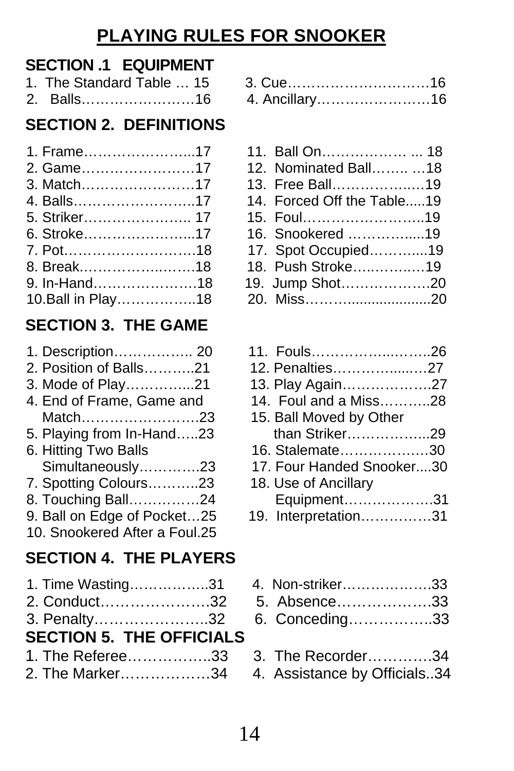# **PLAYING RULES FOR SNOOKER**

#### **SECTION .1 EQUIPMENT**

| 1. The Standard Table  15 |
|---------------------------|
| 2. Balls16                |

### **SECTION 2. DEFINITIONS**

| 1. Frame17          |  |
|---------------------|--|
| 2. Game17           |  |
| 3. Match17          |  |
| 4. Balls17          |  |
| 5. Striker 17       |  |
| 6. Stroke17         |  |
|                     |  |
|                     |  |
| 9. In-Hand18        |  |
| 10. Ball in Play 18 |  |

#### **SECTION 3. THE GAME**

| 1. Description 20            | 11. Fouls               |
|------------------------------|-------------------------|
| 2. Position of Balls21       | 12. Penalties           |
| 3. Mode of Play21            | 13. Play Again          |
| 4. End of Frame, Game and    | 14. Foul and a Miss     |
| Match23                      | 15. Ball Moved by Other |
| 5. Playing from In-Hand23    | than Striker            |
| 6. Hitting Two Balls         | 16. Stalemate           |
| Simultaneously23             | 17. Four Handed Snooke  |
| 7. Spotting Colours23        | 18. Use of Ancillary    |
| 8. Touching Ball24           | Equipment               |
| 9. Ball on Edge of Pocket25  | 19. Interpretation      |
| 10 Snookered After a Foul 25 |                         |

### **SECTION 4. THE PLAYERS**

|  |  |  | 1. Time Wasting31 |
|--|--|--|-------------------|
|--|--|--|-------------------|

- 
- 3. Penalty…………………..32 6. Conceding……………..33

### **SECTION 5. THE OFFICIALS**

- 1. The Referee……………..33 3. The Recorder………….34
- 

| 2. Balls……………………16 | 4. Ancillary16 |
|--------------------|----------------|

| 1. Frame17          |  |                            |  |
|---------------------|--|----------------------------|--|
| 2. Game17           |  | 12. Nominated Ball  18     |  |
| 3. Match17          |  | 13. Free Ball19            |  |
| 4. Balls……………………17  |  | 14. Forced Off the Table19 |  |
| 5. Striker 17       |  | 15. Foul19                 |  |
| 6. Stroke17         |  | 16. Snookered 19           |  |
| 7. Pot18            |  | 17. Spot Occupied19        |  |
| 8. Break18          |  | 18. Push Stroke19          |  |
| 9. In-Hand…………………18 |  | 19. Jump Shot20            |  |
| 10. Ball in Play 18 |  |                            |  |

| 11. Fouls26               |
|---------------------------|
| 12. Penalties27           |
| 13. Play Again27          |
| 14. Foul and a Miss28     |
| 15. Ball Moved by Other   |
| than Striker29            |
| 16. Stalemate30           |
| 17. Four Handed Snooker30 |
| 18. Use of Ancillary      |
| Equipment31               |
| 19. Interpretation31      |
|                           |

- 4. Non-striker…………………33<br>5. Absence…………………33 2. Conduct………………….32 5. Absence……………….33
	-
	-
	- 4. Assistance by Officials..34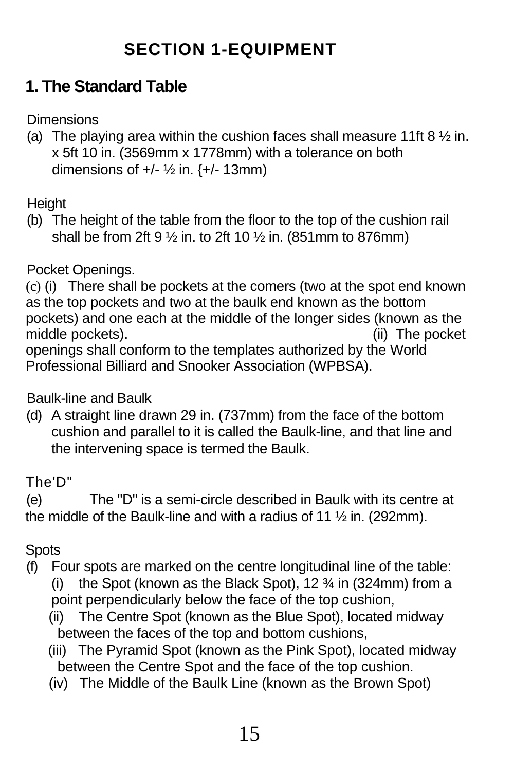### **SECTION 1-EQUIPMENT**

### **1. The Standard Table**

**Dimensions** 

(a) The playing area within the cushion faces shall measure 11ft  $8\frac{1}{2}$  in. x 5ft 10 in. (3569mm x 1778mm) with a tolerance on both dimensions of  $+/ \frac{1}{2}$  in.  $\{+/- 13$  mm)

Height

(b) The height of the table from the floor to the top of the cushion rail shall be from 2ft 9 ½ in. to 2ft 10 ½ in. (851mm to 876mm)

Pocket Openings.

(c) (i) There shall be pockets at the comers (two at the spot end known as the top pockets and two at the baulk end known as the bottom pockets) and one each at the middle of the longer sides (known as the middle pockets). (ii) The pocket openings shall conform to the templates authorized by the World Professional Billiard and Snooker Association (WPBSA).

Baulk-line and Baulk

(d) A straight line drawn 29 in. (737mm) from the face of the bottom cushion and parallel to it is called the Baulk-line, and that line and the intervening space is termed the Baulk.

The'D"

(e) The "D" is a semi-circle described in Baulk with its centre at the middle of the Baulk-line and with a radius of 11 ½ in. (292mm).

**Spots** 

- (f) Four spots are marked on the centre longitudinal line of the table: (i) the Spot (known as the Black Spot),  $12\frac{3}{4}$  in (324mm) from a point perpendicularly below the face of the top cushion,
	- (ii) The Centre Spot (known as the Blue Spot), located midway between the faces of the top and bottom cushions,
	- (iii) The Pyramid Spot (known as the Pink Spot), located midway between the Centre Spot and the face of the top cushion.
	- (iv) The Middle of the Baulk Line (known as the Brown Spot)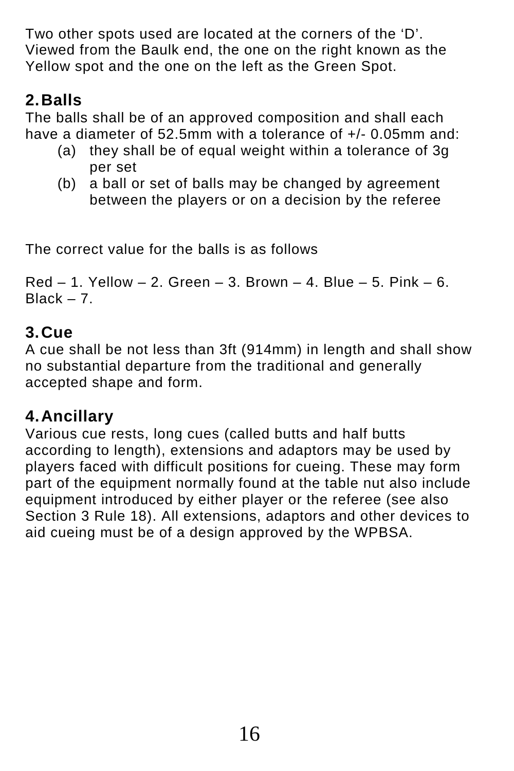Two other spots used are located at the corners of the 'D'. Viewed from the Baulk end, the one on the right known as the Yellow spot and the one on the left as the Green Spot.

### **2. Balls**

The balls shall be of an approved composition and shall each have a diameter of 52.5mm with a tolerance of  $+/- 0.05$ mm and:

- (a) they shall be of equal weight within a tolerance of 3g per set
- (b) a ball or set of balls may be changed by agreement between the players or on a decision by the referee

The correct value for the balls is as follows

 $Red - 1.$  Yellow  $- 2.$  Green  $- 3.$  Brown  $- 4.$  Blue  $- 5.$  Pink  $- 6.$ Black  $-7$ .

#### **3. Cue**

A cue shall be not less than 3ft (914mm) in length and shall show no substantial departure from the traditional and generally accepted shape and form.

#### **4. Ancillary**

Various cue rests, long cues (called butts and half butts according to length), extensions and adaptors may be used by players faced with difficult positions for cueing. These may form part of the equipment normally found at the table nut also include equipment introduced by either player or the referee (see also Section 3 Rule 18). All extensions, adaptors and other devices to aid cueing must be of a design approved by the WPBSA.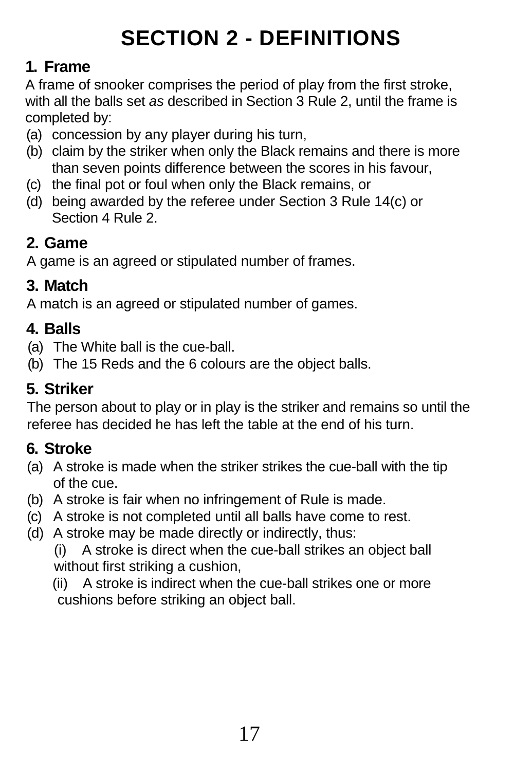# **SECTION 2 - DEFINITIONS**

#### **1. Frame**

A frame of snooker comprises the period of play from the first stroke, with all the balls set *as* described in Section 3 Rule 2, until the frame is completed by:

- (a) concession by any player during his turn,
- (b) claim by the striker when only the Black remains and there is more than seven points difference between the scores in his favour,
- (c) the final pot or foul when only the Black remains, or
- (d) being awarded by the referee under Section 3 Rule 14(c) or Section 4 Rule 2

### **2. Game**

A game is an agreed or stipulated number of frames.

### **3. Match**

A match is an agreed or stipulated number of games.

#### **4. Balls**

- (a) The White ball is the cue-ball.
- (b) The 15 Reds and the 6 colours are the object balls.

#### **5. Striker**

The person about to play or in play is the striker and remains so until the referee has decided he has left the table at the end of his turn.

#### **6. Stroke**

- (a) A stroke is made when the striker strikes the cue-ball with the tip of the cue.
- (b) A stroke is fair when no infringement of Rule is made.
- (c) A stroke is not completed until all balls have come to rest.
- (d) A stroke may be made directly or indirectly, thus:
	- (i) A stroke is direct when the cue-ball strikes an object ball without first striking a cushion,
	- (ii) A stroke is indirect when the cue-ball strikes one or more cushions before striking an object ball.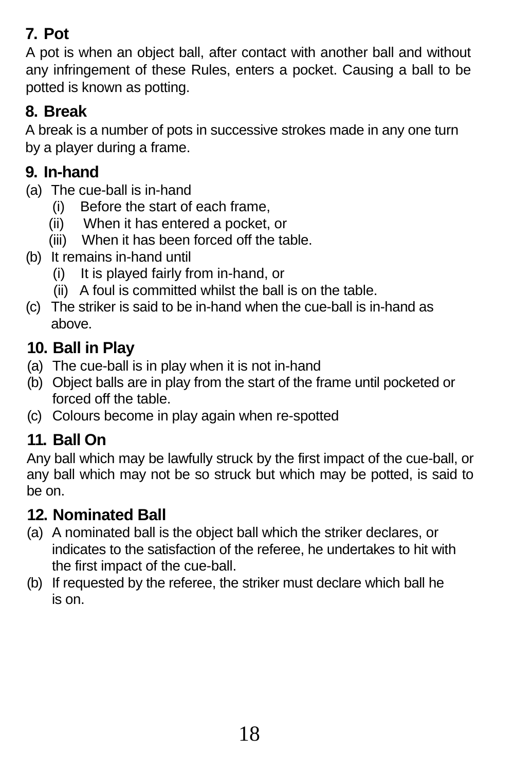### **7. Pot**

A pot is when an object ball, after contact with another ball and without any infringement of these Rules, enters a pocket. Causing a ball to be potted is known as potting.

### **8. Break**

A break is a number of pots in successive strokes made in any one turn by a player during a frame.

### **9. In-hand**

- (a) The cue-ball is in-hand
	- (i) Before the start of each frame,
	- (ii) When it has entered a pocket, or
	- (iii) When it has been forced off the table.
- (b) It remains in-hand until
	- (i) It is played fairly from in-hand, or
	- (ii) A foul is committed whilst the ball is on the table.
- (c) The striker is said to be in-hand when the cue-ball is in-hand as above.

#### **10. Ball in Play**

- (a) The cue-ball is in play when it is not in-hand
- (b) Object balls are in play from the start of the frame until pocketed or forced off the table.
- (c) Colours become in play again when re-spotted

#### **11. Ball On**

Any ball which may be lawfully struck by the first impact of the cue-ball, or any ball which may not be so struck but which may be potted, is said to be on.

#### **12. Nominated Ball**

- (a) A nominated ball is the object ball which the striker declares, or indicates to the satisfaction of the referee, he undertakes to hit with the first impact of the cue-ball.
- (b) If requested by the referee, the striker must declare which ball he is on.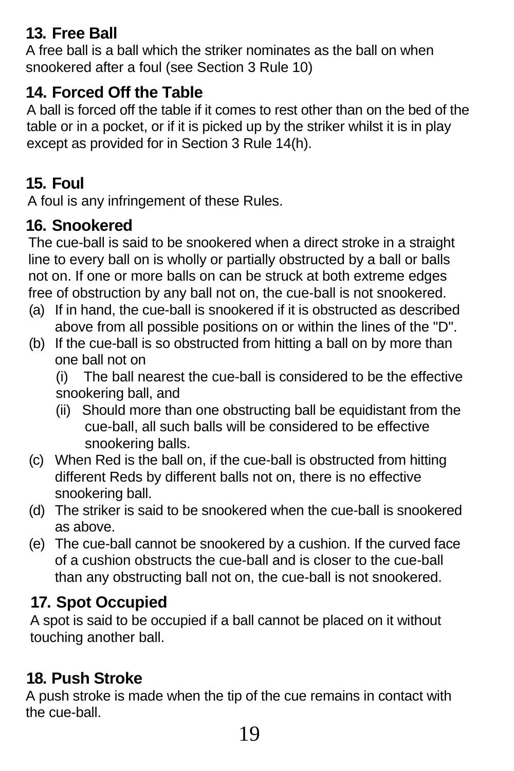### **13. Free Ball**

A free ball is a ball which the striker nominates as the ball on when snookered after a foul (see Section 3 Rule 10)

#### **14. Forced Off the Table**

A ball is forced off the table if it comes to rest other than on the bed of the table or in a pocket, or if it is picked up by the striker whilst it is in play except as provided for in Section 3 Rule 14(h).

#### **15. Foul**

A foul is any infringement of these Rules.

#### **16. Snookered**

The cue-ball is said to be snookered when a direct stroke in a straight line to every ball on is wholly or partially obstructed by a ball or balls not on. If one or more balls on can be struck at both extreme edges free of obstruction by any ball not on, the cue-ball is not snookered.

- (a) If in hand, the cue-ball is snookered if it is obstructed as described above from all possible positions on or within the lines of the "D".
- (b) If the cue-ball is so obstructed from hitting a ball on by more than one ball not on

(i) The ball nearest the cue-ball is considered to be the effective snookering ball, and

- (ii) Should more than one obstructing ball be equidistant from the cue-ball, all such balls will be considered to be effective snookering balls.
- (c) When Red is the ball on, if the cue-ball is obstructed from hitting different Reds by different balls not on, there is no effective snookering ball.
- (d) The striker is said to be snookered when the cue-ball is snookered as above.
- (e) The cue-ball cannot be snookered by a cushion. If the curved face of a cushion obstructs the cue-ball and is closer to the cue-ball than any obstructing ball not on, the cue-ball is not snookered.

### **17. Spot Occupied**

A spot is said to be occupied if a ball cannot be placed on it without touching another ball.

### **18. Push Stroke**

A push stroke is made when the tip of the cue remains in contact with the cue-ball.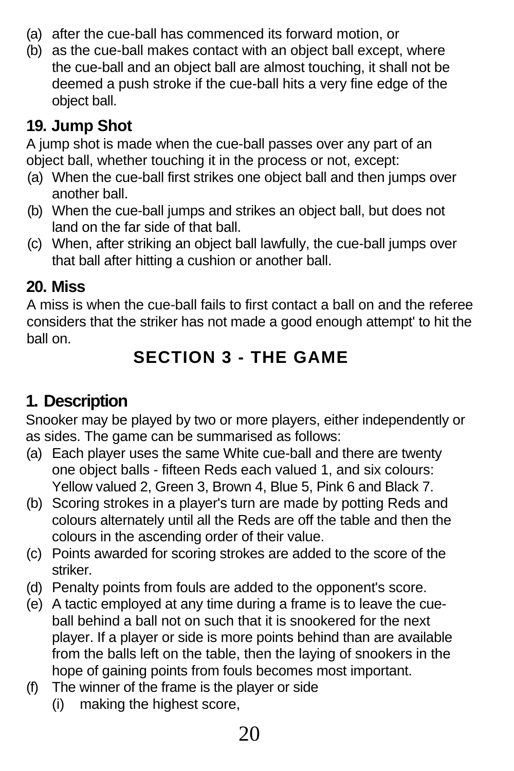- (a) after the cue-ball has commenced its forward motion, or
- (b) as the cue-ball makes contact with an object ball except, where the cue-ball and an object ball are almost touching, it shall not be deemed a push stroke if the cue-ball hits a very fine edge of the object ball.

#### **19. Jump Shot**

A jump shot is made when the cue-ball passes over any part of an object ball, whether touching it in the process or not, except:

- (a) When the cue-ball first strikes one object ball and then jumps over another ball.
- (b) When the cue-ball jumps and strikes an object ball, but does not land on the far side of that ball.
- (c) When, after striking an object ball lawfully, the cue-ball jumps over that ball after hitting a cushion or another ball.

### **20. Miss**

A miss is when the cue-ball fails to first contact a ball on and the referee considers that the striker has not made a good enough attempt' to hit the ball on.

### **SECTION 3 - THE GAME**

### **1. Description**

Snooker may be played by two or more players, either independently or as sides. The game can be summarised as follows:

- (a) Each player uses the same White cue-ball and there are twenty one object balls - fifteen Reds each valued 1, and six colours: Yellow valued 2, Green 3, Brown 4, Blue 5, Pink 6 and Black 7.
- (b) Scoring strokes in a player's turn are made by potting Reds and colours alternately until all the Reds are off the table and then the colours in the ascending order of their value.
- (c) Points awarded for scoring strokes are added to the score of the striker.
- (d) Penalty points from fouls are added to the opponent's score.
- (e) A tactic employed at any time during a frame is to leave the cueball behind a ball not on such that it is snookered for the next player. If a player or side is more points behind than are available from the balls left on the table, then the laying of snookers in the hope of gaining points from fouls becomes most important.
- (f) The winner of the frame is the player or side
	- (i) making the highest score,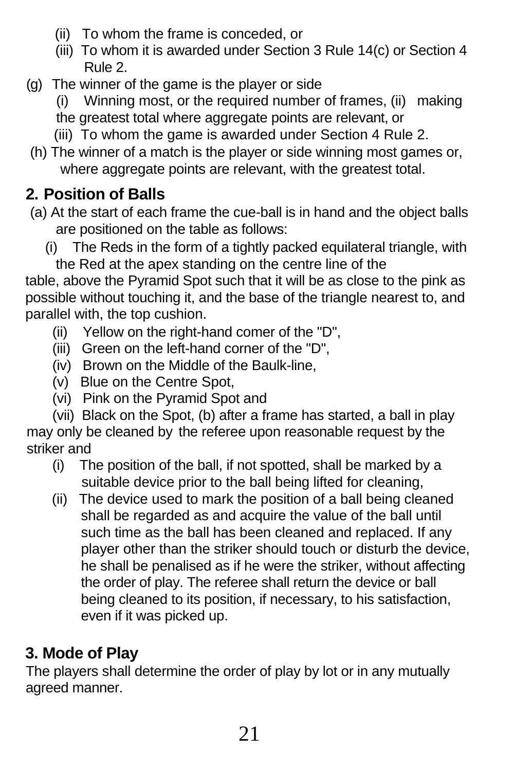- (ii) To whom the frame is conceded, or
- (iii) To whom it is awarded under Section 3 Rule 14(c) or Section 4 Rule 2.
- (g) The winner of the game is the player or side
	- (i) Winning most, or the required number of frames, (ii) making the greatest total where aggregate points are relevant, or
	- (iii) To whom the game is awarded under Section 4 Rule 2.
- (h) The winner of a match is the player or side winning most games or, where aggregate points are relevant, with the greatest total.

#### **2. Position of Balls**

- (a) At the start of each frame the cue-ball is in hand and the object balls are positioned on the table as follows:
	- (i) The Reds in the form of a tightly packed equilateral triangle, with the Red at the apex standing on the centre line of the

table, above the Pyramid Spot such that it will be as close to the pink as possible without touching it, and the base of the triangle nearest to, and parallel with, the top cushion.

- (ii) Yellow on the right-hand comer of the "D",
- (iii) Green on the left-hand corner of the "D",
- $(iv)$  Brown on the Middle of the Baulk-line.
- (v) Blue on the Centre Spot,
- (vi) Pink on the Pyramid Spot and

(vii) Black on the Spot, (b) after a frame has started, a ball in play may only be cleaned by the referee upon reasonable request by the striker and

- (i) The position of the ball, if not spotted, shall be marked by a suitable device prior to the ball being lifted for cleaning,
- (ii) The device used to mark the position of a ball being cleaned shall be regarded as and acquire the value of the ball until such time as the ball has been cleaned and replaced. If any player other than the striker should touch or disturb the device, he shall be penalised as if he were the striker, without affecting the order of play. The referee shall return the device or ball being cleaned to its position, if necessary, to his satisfaction, even if it was picked up.

#### **3. Mode of Play**

The players shall determine the order of play by lot or in any mutually agreed manner.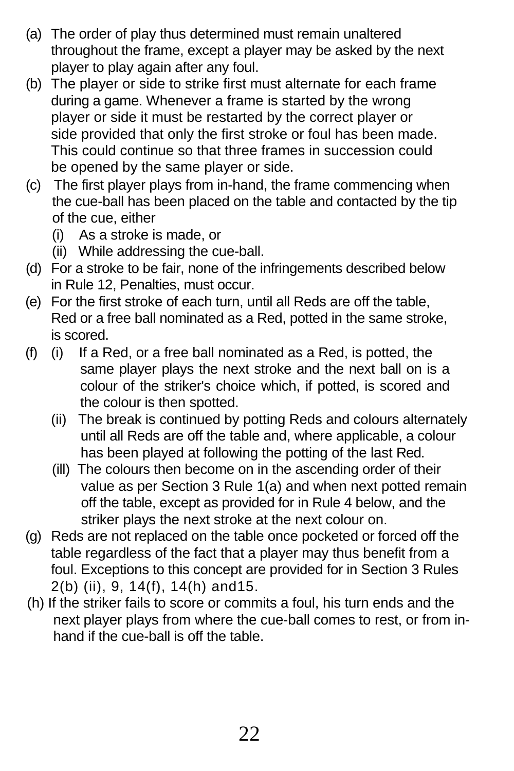- (a) The order of play thus determined must remain unaltered throughout the frame, except a player may be asked by the next player to play again after any foul.
- (b) The player or side to strike first must alternate for each frame during a game. Whenever a frame is started by the wrong player or side it must be restarted by the correct player or side provided that only the first stroke or foul has been made. This could continue so that three frames in succession could be opened by the same player or side.
- (c) The first player plays from in-hand, the frame commencing when the cue-ball has been placed on the table and contacted by the tip of the cue, either
	-
	- (i) As a stroke is made, or (ii) While addressing the cue-ball.
- (d) For a stroke to be fair, none of the infringements described below in Rule 12, Penalties, must occur.
- (e) For the first stroke of each turn, until all Reds are off the table, Red or a free ball nominated as a Red, potted in the same stroke, is scored.
- (f) (i) If a Red, or a free ball nominated as a Red, is potted, the same player plays the next stroke and the next ball on is a colour of the striker's choice which, if potted, is scored and the colour is then spotted.
	- (ii) The break is continued by potting Reds and colours alternately until all Reds are off the table and, where applicable, a colour has been played at following the potting of the last Red.
	- (ill) The colours then become on in the ascending order of their value as per Section 3 Rule 1(a) and when next potted remain off the table, except as provided for in Rule 4 below, and the striker plays the next stroke at the next colour on.
- (g) Reds are not replaced on the table once pocketed or forced off the table regardless of the fact that a player may thus benefit from a foul. Exceptions to this concept are provided for in Section 3 Rules 2(b) (ii), 9, 14(f), 14(h) and15.
- (h) If the striker fails to score or commits a foul, his turn ends and the next player plays from where the cue-ball comes to rest, or from inhand if the cue-ball is off the table.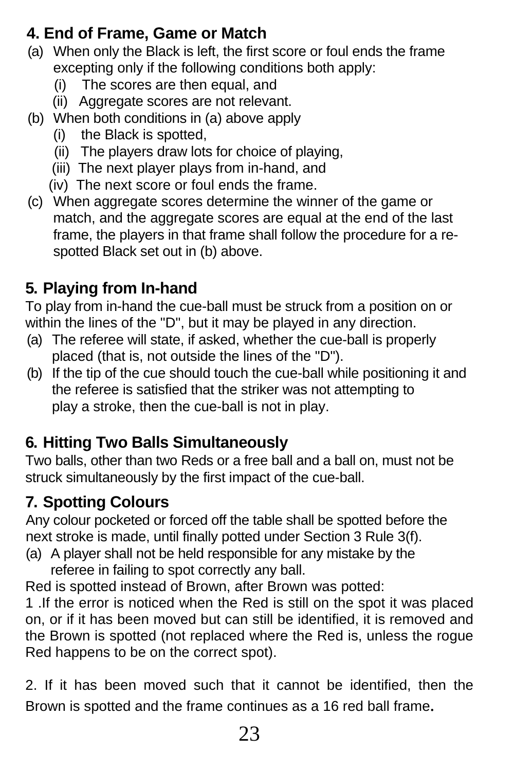### **4. End of Frame, Game or Match**

- (a) When only the Black is left, the first score or foul ends the frame excepting only if the following conditions both apply:
	- (i) The scores are then equal, and
	- (ii) Aggregate scores are not relevant.
- (b) When both conditions in (a) above apply
	- (i) the Black is spotted,
	- (ii) The players draw lots for choice of playing,
	- (iii) The next player plays from in-hand, and
	- (iv) The next score or foul ends the frame.
- (c) When aggregate scores determine the winner of the game or match, and the aggregate scores are equal at the end of the last frame, the players in that frame shall follow the procedure for a respotted Black set out in (b) above.

### **5. Playing from In-hand**

To play from in-hand the cue-ball must be struck from a position on or within the lines of the "D", but it may be played in any direction.

- (a) The referee will state, if asked, whether the cue-ball is properly placed (that is, not outside the lines of the "D").
- (b) If the tip of the cue should touch the cue-ball while positioning it and the referee is satisfied that the striker was not attempting to play a stroke, then the cue-ball is not in play.

### **6. Hitting Two Balls Simultaneously**

Two balls, other than two Reds or a free ball and a ball on, must not be struck simultaneously by the first impact of the cue-ball.

### **7. Spotting Colours**

Any colour pocketed or forced off the table shall be spotted before the next stroke is made, until finally potted under Section 3 Rule 3(f).

(a) A player shall not be held responsible for any mistake by the

referee in failing to spot correctly any ball.

Red is spotted instead of Brown, after Brown was potted:

1 .If the error is noticed when the Red is still on the spot it was placed on, or if it has been moved but can still be identified, it is removed and the Brown is spotted (not replaced where the Red is, unless the rogue Red happens to be on the correct spot).

2. If it has been moved such that it cannot be identified, then the Brown is spotted and the frame continues as a 16 red ball frame.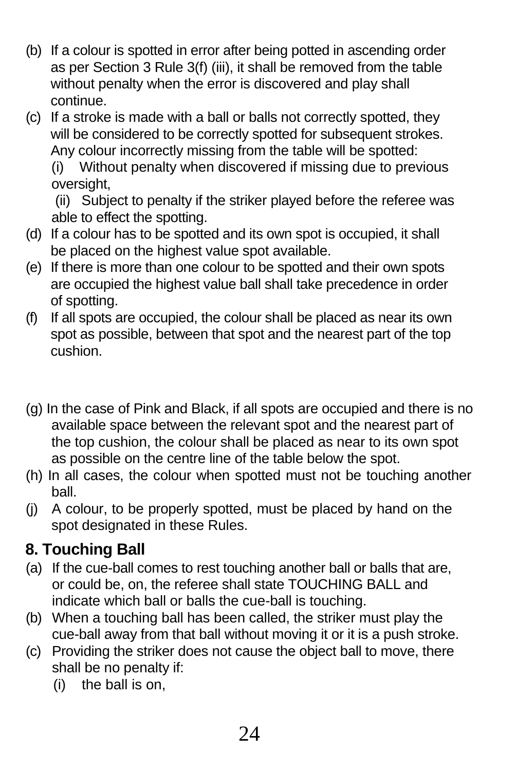- (b) If a colour is spotted in error after being potted in ascending order as per Section 3 Rule 3(f) (iii), it shall be removed from the table without penalty when the error is discovered and play shall continue.
- (c) If a stroke is made with a ball or balls not correctly spotted, they will be considered to be correctly spotted for subsequent strokes. Any colour incorrectly missing from the table will be spotted:

(i) Without penalty when discovered if missing due to previous oversight,

 (ii) Subject to penalty if the striker played before the referee was able to effect the spotting.

- (d) If a colour has to be spotted and its own spot is occupied, it shall be placed on the highest value spot available.
- (e) If there is more than one colour to be spotted and their own spots are occupied the highest value ball shall take precedence in order of spotting.
- (f) If all spots are occupied, the colour shall be placed as near its own spot as possible, between that spot and the nearest part of the top cushion.
- (g) In the case of Pink and Black, if all spots are occupied and there is no available space between the relevant spot and the nearest part of the top cushion, the colour shall be placed as near to its own spot as possible on the centre line of the table below the spot.
- (h) In all cases, the colour when spotted must not be touching another ball.
- (j) A colour, to be properly spotted, must be placed by hand on the spot designated in these Rules.

#### **8. Touching Ball**

- (a) If the cue-ball comes to rest touching another ball or balls that are, or could be, on, the referee shall state TOUCHING BALL and indicate which ball or balls the cue-ball is touching.
- (b) When a touching ball has been called, the striker must play the cue-ball away from that ball without moving it or it is a push stroke.
- (c) Providing the striker does not cause the object ball to move, there shall be no penalty if:
	- (i) the ball is on,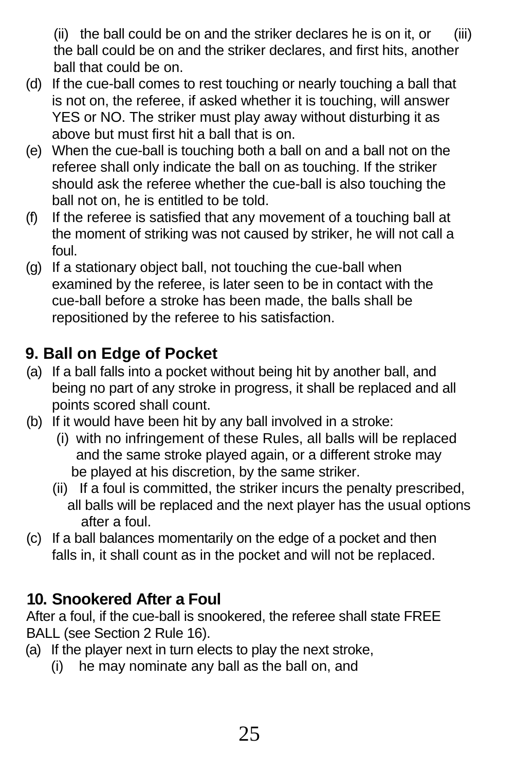$(i)$  the ball could be on and the striker declares he is on it, or  $(iii)$ the ball could be on and the striker declares, and first hits, another ball that could be on.

- (d) If the cue-ball comes to rest touching or nearly touching a ball that is not on, the referee, if asked whether it is touching, will answer YES or NO. The striker must play away without disturbing it as above but must first hit a ball that is on.
- (e) When the cue-ball is touching both a ball on and a ball not on the referee shall only indicate the ball on as touching. If the striker should ask the referee whether the cue-ball is also touching the ball not on, he is entitled to be told.
- (f) If the referee is satisfied that any movement of a touching ball at the moment of striking was not caused by striker, he will not call a foul.
- (g) If a stationary object ball, not touching the cue-ball when examined by the referee, is later seen to be in contact with the cue-ball before a stroke has been made, the balls shall be repositioned by the referee to his satisfaction.

### **9. Ball on Edge of Pocket**

- (a) If a ball falls into a pocket without being hit by another ball, and being no part of any stroke in progress, it shall be replaced and all points scored shall count.
- (b) If it would have been hit by any ball involved in a stroke:
	- (i) with no infringement of these Rules, all balls will be replaced and the same stroke played again, or a different stroke may be played at his discretion, by the same striker.
	- (ii) If a foul is committed, the striker incurs the penalty prescribed, all balls will be replaced and the next player has the usual options after a foul.
- (c) If a ball balances momentarily on the edge of a pocket and then falls in, it shall count as in the pocket and will not be replaced.

#### **10. Snookered After a Foul**

After a foul, if the cue-ball is snookered, the referee shall state FREE BALL (see Section 2 Rule 16).

- (a) If the player next in turn elects to play the next stroke,
	- (i) he may nominate any ball as the ball on, and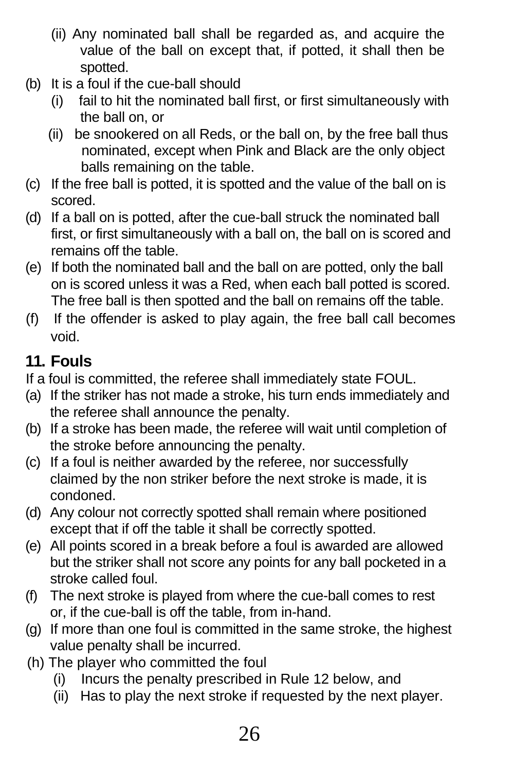- (ii) Any nominated ball shall be regarded as, and acquire the value of the ball on except that, if potted, it shall then be spotted.
- (b) It is a foul if the cue-ball should
	- (i) fail to hit the nominated ball first, or first simultaneously with the ball on, or
	- (ii) be snookered on all Reds, or the ball on, by the free ball thus nominated, except when Pink and Black are the only object balls remaining on the table.
- (c) If the free ball is potted, it is spotted and the value of the ball on is scored.
- (d) If a ball on is potted, after the cue-ball struck the nominated ball first, or first simultaneously with a ball on, the ball on is scored and remains off the table.
- (e) If both the nominated ball and the ball on are potted, only the ball on is scored unless it was a Red, when each ball potted is scored. The free ball is then spotted and the ball on remains off the table.
- (f) If the offender is asked to play again, the free ball call becomes void.

### **11. Fouls**

If a foul is committed, the referee shall immediately state FOUL.

- (a) If the striker has not made a stroke, his turn ends immediately and the referee shall announce the penalty.
- (b) If a stroke has been made, the referee will wait until completion of the stroke before announcing the penalty.
- (c) If a foul is neither awarded by the referee, nor successfully claimed by the non striker before the next stroke is made, it is condoned.
- (d) Any colour not correctly spotted shall remain where positioned except that if off the table it shall be correctly spotted.
- (e) All points scored in a break before a foul is awarded are allowed but the striker shall not score any points for any ball pocketed in a stroke called foul.
- (f) The next stroke is played from where the cue-ball comes to rest or, if the cue-ball is off the table, from in-hand.
- (g) If more than one foul is committed in the same stroke, the highest value penalty shall be incurred.
- (h) The player who committed the foul
	- (i) Incurs the penalty prescribed in Rule 12 below, and
	- (ii) Has to play the next stroke if requested by the next player.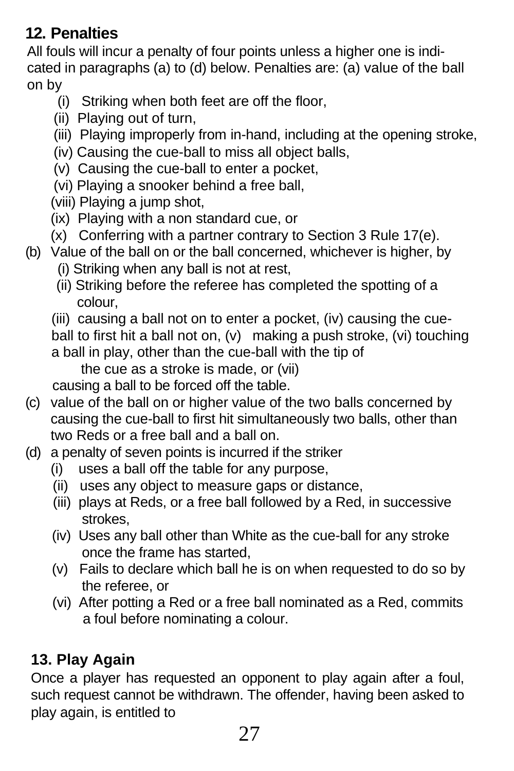### **12. Penalties**

All fouls will incur a penalty of four points unless a higher one is indicated in paragraphs (a) to (d) below. Penalties are: (a) value of the ball on by

- (i) Striking when both feet are off the floor.
- (ii) Playing out of turn,
- (iii) Playing improperly from in-hand, including at the opening stroke,
- (iv) Causing the cue-ball to miss all object balls,
- (v) Causing the cue-ball to enter a pocket,
- (vi) Playing a snooker behind a free ball,
- (viii) Playing a jump shot,
- (ix) Playing with a non standard cue, or
- (x) Conferring with a partner contrary to Section 3 Rule 17(e).
- (b) Value of the ball on or the ball concerned, whichever is higher, by
	- (i) Striking when any ball is not at rest,
	- (ii) Striking before the referee has completed the spotting of a colour,
	- (iii) causing a ball not on to enter a pocket, (iv) causing the cue-

ball to first hit a ball not on, (v) making a push stroke, (vi) touching a ball in play, other than the cue-ball with the tip of

the cue as a stroke is made, or (vii)

causing a ball to be forced off the table.

- (c) value of the ball on or higher value of the two balls concerned by causing the cue-ball to first hit simultaneously two balls, other than two Reds or a free ball and a ball on.
- (d) a penalty of seven points is incurred if the striker
	- (i) uses a ball off the table for any purpose,
	- (ii) uses any object to measure gaps or distance,
	- (iii) plays at Reds, or a free ball followed by a Red, in successive strokes,
	- (iv) Uses any ball other than White as the cue-ball for any stroke once the frame has started,
	- (v) Fails to declare which ball he is on when requested to do so by the referee, or
	- (vi) After potting a Red or a free ball nominated as a Red, commits a foul before nominating a colour.

#### **13. Play Again**

Once a player has requested an opponent to play again after a foul, such request cannot be withdrawn. The offender, having been asked to play again, is entitled to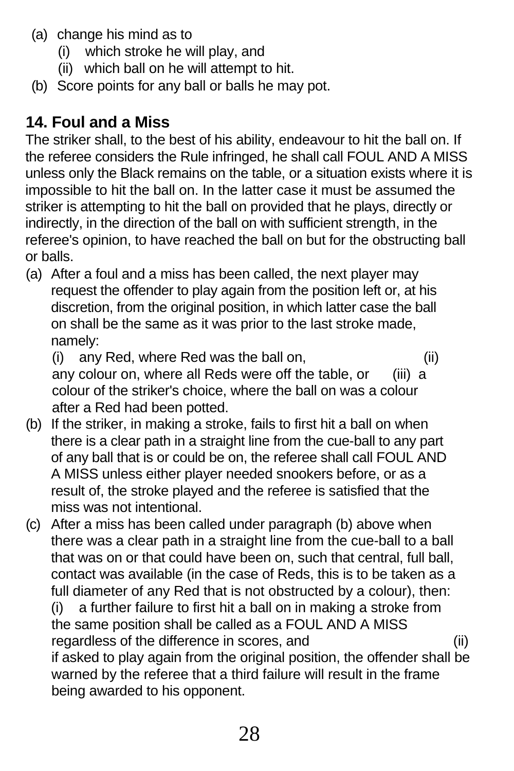- (a) change his mind as to
	- (i) which stroke he will play, and
	- (ii) which ball on he will attempt to hit.
- (b) Score points for any ball or balls he may pot.

### **14. Foul and a Miss**

The striker shall, to the best of his ability, endeavour to hit the ball on. If the referee considers the Rule infringed, he shall call FOUL AND A MISS unless only the Black remains on the table, or a situation exists where it is impossible to hit the ball on. In the latter case it must be assumed the striker is attempting to hit the ball on provided that he plays, directly or indirectly, in the direction of the ball on with sufficient strength, in the referee's opinion, to have reached the ball on but for the obstructing ball or balls.

(a) After a foul and a miss has been called, the next player may request the offender to play again from the position left or, at his discretion, from the original position, in which latter case the ball on shall be the same as it was prior to the last stroke made, namely:

(i) any Red, where Red was the ball on, (ii)

any colour on, where all Reds were off the table, or (iii) a colour of the striker's choice, where the ball on was a colour after a Red had been potted.

(b) If the striker, in making a stroke, fails to first hit a ball on when there is a clear path in a straight line from the cue-ball to any part of any ball that is or could be on, the referee shall call FOUL AND A MISS unless either player needed snookers before, or as a result of, the stroke played and the referee is satisfied that the miss was not intentional.

(c) After a miss has been called under paragraph (b) above when there was a clear path in a straight line from the cue-ball to a ball that was on or that could have been on, such that central, full ball, contact was available (in the case of Reds, this is to be taken as a full diameter of any Red that is not obstructed by a colour), then: (i) a further failure to first hit a ball on in making a stroke from the same position shall be called as a FOUL AND A MISS regardless of the difference in scores, and (ii) if asked to play again from the original position, the offender shall be warned by the referee that a third failure will result in the frame being awarded to his opponent.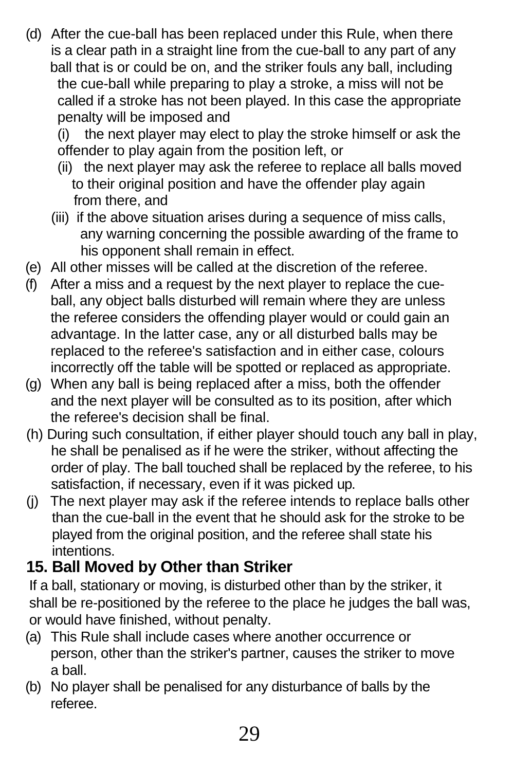(d) After the cue-ball has been replaced under this Rule, when there is a clear path in a straight line from the cue-ball to any part of any ball that is or could be on, and the striker fouls any ball, including the cue-ball while preparing to play a stroke, a miss will not be called if a stroke has not been played. In this case the appropriate penalty will be imposed and

(i) the next player may elect to play the stroke himself or ask the offender to play again from the position left, or

- (ii) the next player may ask the referee to replace all balls moved to their original position and have the offender play again from there, and
- (iii) if the above situation arises during a sequence of miss calls, any warning concerning the possible awarding of the frame to his opponent shall remain in effect.
- (e) All other misses will be called at the discretion of the referee.
- (f) After a miss and a request by the next player to replace the cueball, any object balls disturbed will remain where they are unless the referee considers the offending player would or could gain an advantage. In the latter case, any or all disturbed balls may be replaced to the referee's satisfaction and in either case, colours incorrectly off the table will be spotted or replaced as appropriate.
- (g) When any ball is being replaced after a miss, both the offender and the next player will be consulted as to its position, after which the referee's decision shall be final.
- (h) During such consultation, if either player should touch any ball in play, he shall be penalised as if he were the striker, without affecting the order of play. The ball touched shall be replaced by the referee, to his satisfaction, if necessary, even if it was picked up.
- (j) The next player may ask if the referee intends to replace balls other than the cue-ball in the event that he should ask for the stroke to be played from the original position, and the referee shall state his intentions.

#### **15. Ball Moved by Other than Striker**

If a ball, stationary or moving, is disturbed other than by the striker, it shall be re-positioned by the referee to the place he judges the ball was, or would have finished, without penalty.

- (a) This Rule shall include cases where another occurrence or person, other than the striker's partner, causes the striker to move a ball.
- (b) No player shall be penalised for any disturbance of balls by the referee.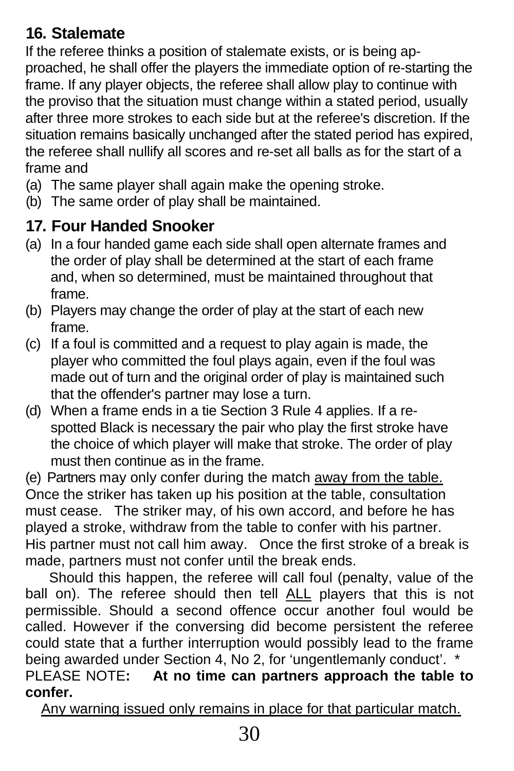#### **16. Stalemate**

If the referee thinks a position of stalemate exists, or is being approached, he shall offer the players the immediate option of re-starting the frame. If any player objects, the referee shall allow play to continue with the proviso that the situation must change within a stated period, usually after three more strokes to each side but at the referee's discretion. If the situation remains basically unchanged after the stated period has expired, the referee shall nullify all scores and re-set all balls as for the start of a frame and

- (a) The same player shall again make the opening stroke.
- (b) The same order of play shall be maintained.

#### **17. Four Handed Snooker**

- (a) In a four handed game each side shall open alternate frames and the order of play shall be determined at the start of each frame and, when so determined, must be maintained throughout that frame.
- (b) Players may change the order of play at the start of each new frame.
- (c) If a foul is committed and a request to play again is made, the player who committed the foul plays again, even if the foul was made out of turn and the original order of play is maintained such that the offender's partner may lose a turn.
- (d) When a frame ends in a tie Section 3 Rule 4 applies. If a respotted Black is necessary the pair who play the first stroke have the choice of which player will make that stroke. The order of play must then continue as in the frame.

(e) Partners may only confer during the match away from the table. Once the striker has taken up his position at the table, consultation must cease. The striker may, of his own accord, and before he has played a stroke, withdraw from the table to confer with his partner. His partner must not call him away. Once the first stroke of a break is made, partners must not confer until the break ends.

 Should this happen, the referee will call foul (penalty, value of the ball on). The referee should then tell ALL players that this is not permissible. Should a second offence occur another foul would be called. However if the conversing did become persistent the referee could state that a further interruption would possibly lead to the frame being awarded under Section 4, No 2, for 'ungentlemanly conduct'. \* PLEASE NOTE**: At no time can partners approach the table to**

#### **confer.**

Any warning issued only remains in place for that particular match.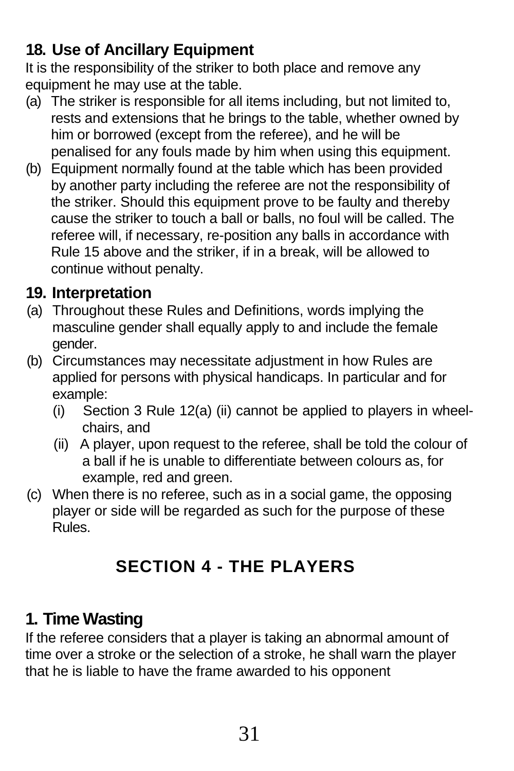### **18. Use of Ancillary Equipment**

It is the responsibility of the striker to both place and remove any equipment he may use at the table.

- (a) The striker is responsible for all items including, but not limited to, rests and extensions that he brings to the table, whether owned by him or borrowed (except from the referee), and he will be penalised for any fouls made by him when using this equipment.
- (b) Equipment normally found at the table which has been provided by another party including the referee are not the responsibility of the striker. Should this equipment prove to be faulty and thereby cause the striker to touch a ball or balls, no foul will be called. The referee will, if necessary, re-position any balls in accordance with Rule 15 above and the striker, if in a break, will be allowed to continue without penalty.

### **19. Interpretation**

- (a) Throughout these Rules and Definitions, words implying the masculine gender shall equally apply to and include the female gender.
- (b) Circumstances may necessitate adjustment in how Rules are applied for persons with physical handicaps. In particular and for example:
	- (i) Section 3 Rule 12(a) (ii) cannot be applied to players in wheelchairs, and
	- (ii) A player, upon request to the referee, shall be told the colour of a ball if he is unable to differentiate between colours as, for example, red and green.
- (c) When there is no referee, such as in a social game, the opposing player or side will be regarded as such for the purpose of these Rules.

# **SECTION 4 - THE PLAYERS**

### **1. Time Wasting**

If the referee considers that a player is taking an abnormal amount of time over a stroke or the selection of a stroke, he shall warn the player that he is liable to have the frame awarded to his opponent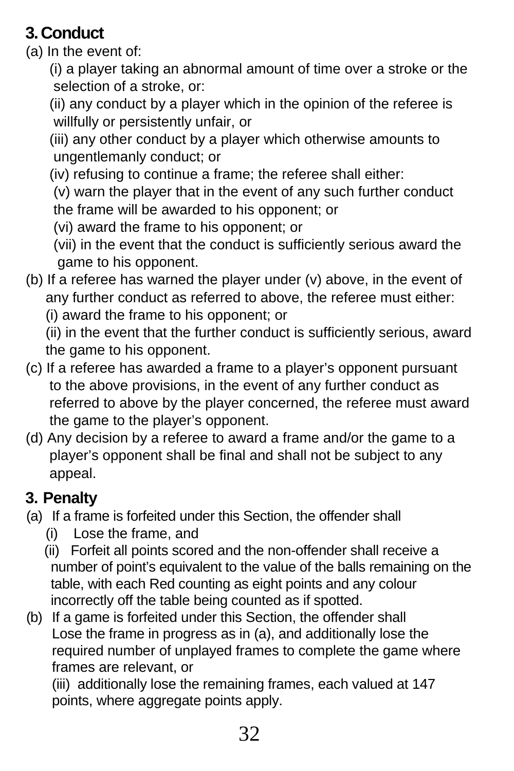### **3. Conduct**

(a) In the event of:

- (i) a player taking an abnormal amount of time over a stroke or the selection of a stroke, or:
- (ii) any conduct by a player which in the opinion of the referee is willfully or persistently unfair, or
- (iii) any other conduct by a player which otherwise amounts to ungentlemanly conduct; or
- (iv) refusing to continue a frame; the referee shall either:
- (v) warn the player that in the event of any such further conduct the frame will be awarded to his opponent; or
- (vi) award the frame to his opponent; or
- (vii) in the event that the conduct is sufficiently serious award the game to his opponent.
- (b) If a referee has warned the player under (v) above, in the event of any further conduct as referred to above, the referee must either:
	- (i) award the frame to his opponent; or
	- (ii) in the event that the further conduct is sufficiently serious, award the game to his opponent.
- (c) If a referee has awarded a frame to a player's opponent pursuant to the above provisions, in the event of any further conduct as referred to above by the player concerned, the referee must award the game to the player's opponent.
- (d) Any decision by a referee to award a frame and/or the game to a player's opponent shall be final and shall not be subject to any appeal.

### **3. Penalty**

- (a) If a frame is forfeited under this Section, the offender shall
	- (i) Lose the frame, and
	- (ii) Forfeit all points scored and the non-offender shall receive a number of point's equivalent to the value of the balls remaining on the table, with each Red counting as eight points and any colour incorrectly off the table being counted as if spotted.
- (b) If a game is forfeited under this Section, the offender shall Lose the frame in progress as in (a), and additionally lose the required number of unplayed frames to complete the game where frames are relevant, or

(iii) additionally lose the remaining frames, each valued at 147 points, where aggregate points apply.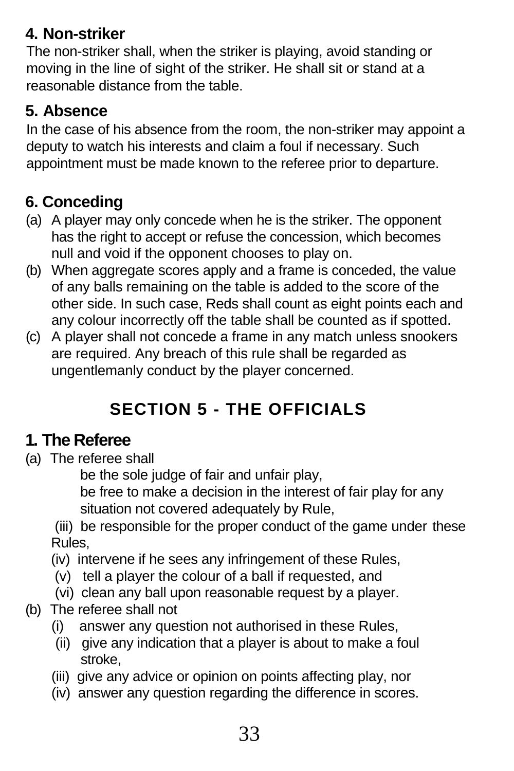#### **4. Non-striker**

The non-striker shall, when the striker is playing, avoid standing or moving in the line of sight of the striker. He shall sit or stand at a reasonable distance from the table.

### **5. Absence**

In the case of his absence from the room, the non-striker may appoint a deputy to watch his interests and claim a foul if necessary. Such appointment must be made known to the referee prior to departure.

### **6. Conceding**

- (a) A player may only concede when he is the striker. The opponent has the right to accept or refuse the concession, which becomes null and void if the opponent chooses to play on.
- (b) When aggregate scores apply and a frame is conceded, the value of any balls remaining on the table is added to the score of the other side. In such case, Reds shall count as eight points each and any colour incorrectly off the table shall be counted as if spotted.
- (c) A player shall not concede a frame in any match unless snookers are required. Any breach of this rule shall be regarded as ungentlemanly conduct by the player concerned.

# **SECTION 5 - THE OFFICIALS**

#### **1. The Referee**

(a) The referee shall

be the sole judge of fair and unfair play,

be free to make a decision in the interest of fair play for any situation not covered adequately by Rule.

 (iii) be responsible for the proper conduct of the game under these Rules,

- (iv) intervene if he sees any infringement of these Rules,
- (v) tell a player the colour of a ball if requested, and
- (vi) clean any ball upon reasonable request by a player.
- (b) The referee shall not
	- (i) answer any question not authorised in these Rules,
	- (ii) give any indication that a player is about to make a foul stroke,
	- (iii) give any advice or opinion on points affecting play, nor
	- (iv) answer any question regarding the difference in scores.